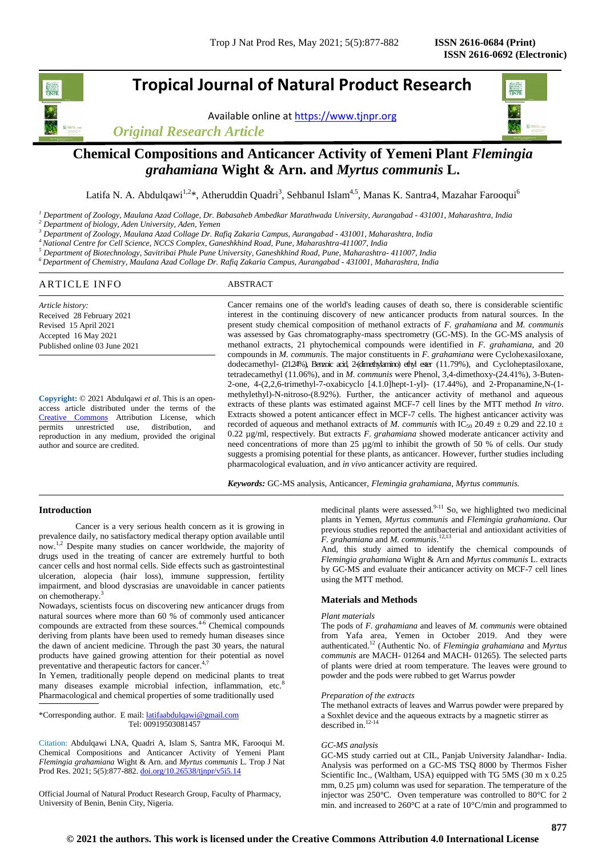# **Tropical Journal of Natural Product Research**

Available online a[t https://www.tjnpr.org](https://www.tjnpr.org/)





# **Chemical Compositions and Anticancer Activity of Yemeni Plant** *Flemingia grahamiana* **Wight & Arn. and** *Myrtus communis* **L.**

Latifa N. A. Abdulqawi<sup>1,2</sup>\*, Atheruddin Quadri<sup>3</sup>, Sehbanul Islam<sup>4,5</sup>, Manas K. Santra4, Mazahar Farooqui<sup>6</sup>

*<sup>1</sup> Department of Zoology, Maulana Azad Collage, Dr. Babasaheb Ambedkar Marathwada University, Aurangabad - 431001, Maharashtra, India*

*<sup>2</sup> Department of biology, Aden University, Aden, Yemen*

*<sup>3</sup> Department of Zoology, Maulana Azad Collage Dr. Rafiq Zakaria Campus, Aurangabad - 431001, Maharashtra, India*

*<sup>4</sup>National Centre for Cell Science, NCCS Complex, Ganeshkhind Road, Pune, Maharashtra-411007, India* 

*<sup>5</sup> Department of Biotechnology, Savitribai Phule Pune University, Ganeshkhind Road, Pune, Maharashtra- 411007, India*

*<sup>6</sup>Department of Chemistry, Maulana Azad Collage Dr. Rafiq Zakaria Campus, Aurangabad - 431001, Maharashtra, India*

# ARTICLE INFO ABSTRACT

*Article history:* Received 28 February 2021 Revised 15 April 2021 Accepted 16 May 2021 Published online 03 June 2021

**Copyright:** © 2021 Abdulqawi *et al*. This is an openaccess article distributed under the terms of the [Creative Commons](https://creativecommons.org/licenses/by/4.0/) Attribution License, which permits unrestricted use, distribution, and reproduction in any medium, provided the original author and source are credited.

Cancer remains one of the world's leading causes of death so, there is considerable scientific interest in the continuing discovery of new anticancer products from natural sources. In the present study chemical composition of methanol extracts of *F. grahamiana* and *M. communis* was assessed by Gas chromatography-mass spectrometry (GC-MS). In the GC-MS analysis of methanol extracts, 21 phytochemical compounds were identified in *F. grahamiana*, and 20 compounds in *M. communis*. The major constituents in *F. grahamiana* were Cyclohexasiloxane, dodecamethyl- (21.24%), Benzoic acid, 2-(dimethylamino) ethyl ester (11.79%), and Cycloheptasiloxane, tetradecamethyl (11.06%), and in *M. communis* were Phenol, 3,4-dimethoxy-(24.41%), 3-Buten-2-one, 4-(2,2,6-trimethyl-7-oxabicyclo [4.1.0]hept-1-yl)- (17.44%), and 2-Propanamine,N-(1 methylethyl)-N-nitroso-(8.92%). Further, the anticancer activity of methanol and aqueous extracts of these plants was estimated against MCF-7 cell lines by the MTT method *In vitro*. Extracts showed a potent anticancer effect in MCF-7 cells. The highest anticancer activity was recorded of aqueous and methanol extracts of *M. communis* with IC<sub>50</sub> 20.49  $\pm$  0.29 and 22.10  $\pm$ 0.22 µg/ml, respectively. But extracts *F. grahamiana* showed moderate anticancer activity and need concentrations of more than 25 µg/ml to inhibit the growth of 50 % of cells. Our study suggests a promising potential for these plants, as anticancer. However, further studies including pharmacological evaluation, and *in vivo* anticancer activity are required.

*Keywords:* GC-MS analysis, Anticancer, *Flemingia grahamiana*, *Myrtus communis.*

#### **Introduction**

Cancer is a very serious health concern as it is growing in prevalence daily, no satisfactory medical therapy option available until now.<sup>1,2</sup> Despite many studies on cancer worldwide, the majority of drugs used in the treating of cancer are extremely hurtful to both cancer cells and host normal cells. Side effects such as gastrointestinal ulceration, alopecia (hair loss), immune suppression, fertility impairment, and blood dyscrasias are unavoidable in cancer patients on chemotherapy.

Nowadays, scientists focus on discovering new anticancer drugs from natural sources where more than 60 % of commonly used anticancer compounds are extracted from these sources.<sup>4-6</sup> Chemical compounds deriving from plants have been used to remedy human diseases since the dawn of ancient medicine. Through the past 30 years, the natural products have gained growing attention for their potential as novel preventative and therapeutic factors for cancer.<sup>4,7</sup>

In Yemen, traditionally people depend on medicinal plants to treat many diseases example microbial infection, inflammation, etc.<sup>8</sup> Pharmacological and chemical properties of some traditionally used

\*Corresponding author. E mail: latifaabdulqawi@gmail.com Tel: 00919503081457

Citation: Abdulqawi LNA, Quadri A, Islam S, Santra MK, Farooqui M. Chemical Compositions and Anticancer Activity of Yemeni Plant *Flemingia grahamiana* Wight & Arn. and *Myrtus communis* L*.* Trop J Nat Prod Res. 2021; 5(5):877-882. [doi.org/10.26538/tjnpr/v5i5.1](http://www.doi.org/10.26538/tjnpr/v1i4.5)4

Official Journal of Natural Product Research Group, Faculty of Pharmacy, University of Benin, Benin City, Nigeria.

medicinal plants were assessed.<sup>9-11</sup> So, we highlighted two medicinal plants in Yemen, *Myrtus communis* and *Flemingia grahamiana*. Our previous studies reported the antibacterial and antioxidant activities of *F. grahamiana* and *M. communis*. 12,13

And, this study aimed to identify the chemical compounds of *Flemingia grahamiana* Wight & Arn and *Myrtus communis* L. extracts by GC-MS and evaluate their anticancer activity on MCF-7 cell lines using the MTT method.

### **Materials and Methods**

#### *Plant materials*

The pods of *F. grahamiana* and leaves of *M. communis* were obtained from Yafa area, Yemen in October 2019. And they were authenticated.<sup>12</sup> (Authentic No. of *Flemingia grahamiana* and *Myrtus communis* are MACH- 01264 and MACH- 01265). The selected parts of plants were dried at room temperature. The leaves were ground to powder and the pods were rubbed to get Warrus powder

#### *Preparation of the extracts*

The methanol extracts of leaves and Warrus powder were prepared by a Soxhlet device and the aqueous extracts by a magnetic stirrer as described in.12-14

#### *GC-MS analysis*

GC-MS study carried out at CIL, Panjab University Jalandhar- India. Analysis was performed on a GC-MS TSQ 8000 by Thermos Fisher Scientific Inc., (Waltham, USA) equipped with TG 5MS (30 m x 0.25 mm,  $0.25 \mu m$ ) column was used for separation. The temperature of the injector was 250°C. Oven temperature was controlled to 80°C for 2 min. and increased to 260°C at a rate of 10°C/min and programmed to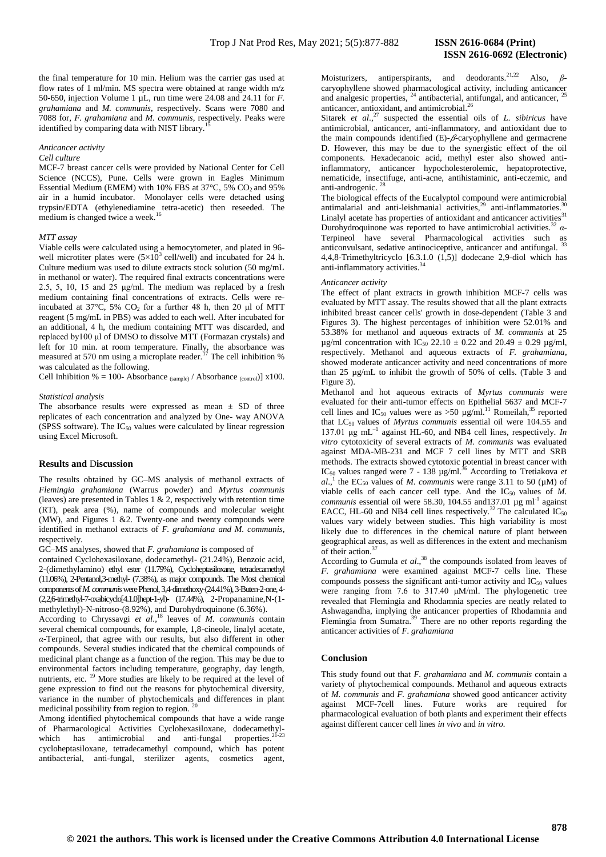the final temperature for 10 min. Helium was the carrier gas used at flow rates of 1 ml/min. MS spectra were obtained at range width m/z 50-650, injection Volume 1 µL, run time were 24.08 and 24.11 for *F. grahamiana* and *M. communis*, respectively. Scans were 7080 and 7088 for, *F. grahamiana* and *M. communis*, respectively. Peaks were identified by comparing data with NIST library.

#### *Anticancer activity*

#### *Cell culture*

MCF-7 breast cancer cells were provided by National Center for Cell Science (NCCS), Pune. Cells were grown in Eagles Minimum Essential Medium (EMEM) with 10% FBS at 37°C, 5%  $CO<sub>2</sub>$  and 95% air in a humid incubator. Monolayer cells were detached using trypsin/EDTA (ethylenediamine tetra-acetic) then reseeded. The medium is changed twice a week.

#### *MTT assay*

Viable cells were calculated using a hemocytometer, and plated in 96 well microtiter plates were  $(5\times10^3 \text{ cell/well})$  and incubated for 24 h. Culture medium was used to dilute extracts stock solution (50 mg/mL in methanol or water). The required final extracts concentrations were 2.5, 5, 10, 15 and 25 μg/ml. The medium was replaced by a fresh medium containing final concentrations of extracts. Cells were reincubated at  $37^{\circ}$ C, 5% CO<sub>2</sub> for a further 48 h, then 20 µl of MTT reagent (5 mg/mL in PBS) was added to each well. After incubated for an additional, 4 h, the medium containing MTT was discarded, and replaced by100 μl of DMSO to dissolve MTT (Formazan crystals) and left for 10 min. at room temperature. Finally, the absorbance was measured at 570 nm using a microplate reader.<sup>17</sup> The cell inhibition % was calculated as the following.

Cell Inhibition % = 100- Absorbance  $_{(sample)}$  / Absorbance  $_{(control)}$ ] x100.

#### *Statistical analysis*

The absorbance results were expressed as mean  $\pm$  SD of three replicates of each concentration and analyzed by One- way ANOVA (SPSS software). The  $IC_{50}$  values were calculated by linear regression using Excel Microsoft.

#### **Results and** D**iscussion**

The results obtained by GC–MS analysis of methanol extracts of *Flemingia grahamiana* (Warrus powder) and *Myrtus communis* (leaves) are presented in Tables 1  $\&$  2, respectively with retention time (RT), peak area (%), name of compounds and molecular weight (MW), and Figures 1 &2. Twenty-one and twenty compounds were identified in methanol extracts of *F. grahamiana and M. communis*, respectively.

GC–MS analyses, showed that *F. grahamiana* is composed of

contained Cyclohexasiloxane, dodecamethyl- (21.24%), Benzoic acid, 2-(dimethylamino) ethyl ester (11.79%), Cycloheptasiloxane, tetradecamethyl (11.06%), 2-Pentanol,3-methyl- (7.38%), as major compounds. The Most chemical components of *M. communis*were Phenol, 3,4-dimethoxy-(24.41%), 3-Buten-2-one, 4- (2,2,6-trimethyl-7-oxabicyclo[4.1.0]hept-1-yl)- (17.44%), 2-Propanamine,N-(1 methylethyl)-N-nitroso-(8.92%), and Durohydroquinone (6.36%).

According to Chryssavgi *et al*., <sup>18</sup> leaves of *M. communis* contain several chemical compounds, for example, 1,8-cineole, linalyl acetate, *α*-Terpineol, that agree with our results, but also different in other compounds. Several studies indicated that the chemical compounds of medicinal plant change as a function of the region. This may be due to environmental factors including temperature, geography, day length, nutrients, etc. <sup>19</sup> More studies are likely to be required at the level of gene expression to find out the reasons for phytochemical diversity, variance in the number of phytochemicals and differences in plant medicinal possibility from region to region.<sup>20</sup>

Among identified phytochemical compounds that have a wide range of Pharmacological Activities Cyclohexasiloxane, dodecamethylwhich has antimicrobial and anti-fungal properties.<sup>21-23</sup> cycloheptasiloxane, tetradecamethyl compound, which has potent antibacterial, anti-fungal, sterilizer agents, cosmetics agent,

Moisturizers, antiperspirants, and deodorants.21,22 Also, *β*caryophyllene showed pharmacological activity, including anticancer and analgesic properties,  $^{24}$  antibacterial, antifungal, and anticancer, anticancer, antioxidant, and antimicrobial.<sup>26</sup>

Sitarek *et al.*,<sup>27</sup> suspected the essential oils of  $L$ . *sibiricus* have antimicrobial, anticancer, anti-inflammatory, and antioxidant due to the main compounds identified  $(E)$ - $\beta$ -caryophyllene and germacrene D. However, this may be due to the synergistic effect of the oil components. Hexadecanoic acid, methyl ester also showed antiinflammatory, anticancer hypocholesterolemic, hepatoprotective, nematicide, insectifuge, anti-acne, antihistaminic, anti-eczemic, and anti-androgenic. <sup>28</sup>

The biological effects of the Eucalyptol compound were antimicrobial antimalarial and anti-leishmanial activities,<sup>29</sup> anti-inflammatories.<sup>3</sup> Linalyl acetate has properties of antioxidant and anticancer activities<sup>31</sup> Durohydroquinone was reported to have antimicrobial activities.<sup>32</sup> α-Terpineol have several Pharmacological activities such as anticonvulsant, sedative antinociceptive, anticancer and antifungal. <sup>33</sup> 4,4,8-Trimethyltricyclo [6.3.1.0 (1,5)] dodecane 2,9-diol which has anti-inflammatory activities.<sup>34</sup>

#### *Anticancer activity*

The effect of plant extracts in growth inhibition MCF-7 cells was evaluated by MTT assay. The results showed that all the plant extracts inhibited breast cancer cells' growth in dose-dependent (Table 3 and Figures 3). The highest percentages of inhibition were 52.01% and 53.38% for methanol and aqueous extracts of *M. communis* at 25  $\mu$ g/ml concentration with IC<sub>50</sub> 22.10  $\pm$  0.22 and 20.49  $\pm$  0.29  $\mu$ g/ml, respectively. Methanol and aqueous extracts of *F. grahamiana*, showed moderate anticancer activity and need concentrations of more than 25 µg/mL to inhibit the growth of 50% of cells. (Table 3 and Figure 3).

Methanol and hot aqueous extracts of *Myrtus communis* were evaluated for their anti-tumor effects on Epithelial 5637 and MCF-7 cell lines and IC<sub>50</sub> values were as >50  $\mu$ g/ml.<sup>11</sup> Romeilah,<sup>35</sup> reported that LC<sub>50</sub> values of *Myrtus communis* essential oil were 104.55 and 137.01 μg mL–1 against HL-60, and NB4 cell lines, respectively. *In vitro* cytotoxicity of several extracts of *M. communis* was evaluated against MDA-MB-231 and MCF 7 cell lines by MTT and SRB methods. The extracts showed cytotoxic potential in breast cancer with IC<sup>50</sup> values ranged were 7 - 138 µg/ml. <sup>36</sup> According to Tretiakova *et*   $al.$ <sup>1</sup>, the EC<sub>50</sub> values of *M. communis* were range 3.11 to 50 ( $\mu$ M) of viable cells of each cancer cell type. And the  $IC_{50}$  values of *M*. *communis* essential oil were 58.30,  $104.55$  and 137.01 µg ml<sup>-1</sup> against EACC, HL-60 and NB4 cell lines respectively.<sup>32</sup> The calculated  $IC_{50}$ values vary widely between studies. This high variability is most likely due to differences in the chemical nature of plant between geographical areas, as well as differences in the extent and mechanism of their action.<sup>37</sup>

According to Gumula *et al*., <sup>38</sup> the compounds isolated from leaves of *F. grahamiana* were examined against MCF-7 cells line. These compounds possess the significant anti-tumor activity and  $IC_{50}$  values were ranging from 7.6 to 317.40 μM/ml. The phylogenetic tree revealed that Flemingia and Rhodamnia species are neatly related to Ashwagandha, implying the anticancer properties of Rhodamnia and Flemingia from Sumatra.<sup>39</sup> There are no other reports regarding the anticancer activities of *F. grahamiana*

#### **Conclusion**

This study found out that *F. grahamiana* and *M. communis* contain a variety of phytochemical compounds. Methanol and aqueous extracts of *M. communis* and *F. grahamiana* showed good anticancer activity against MCF-7cell lines. Future works are required for pharmacological evaluation of both plants and experiment their effects against different cancer cell lines *in vivo* and *in vitro.*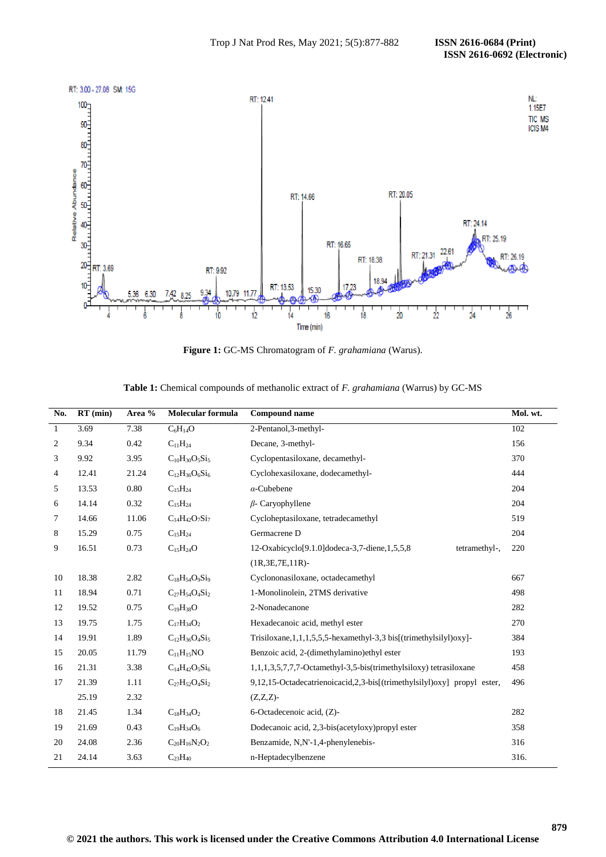

**Figure 1:** GC-MS Chromatogram of *F. grahamiana* (Warus).

|  |  | Table 1: Chemical compounds of methanolic extract of F. grahamiana (Warrus) by GC-MS |  |
|--|--|--------------------------------------------------------------------------------------|--|
|  |  |                                                                                      |  |

| No.          | $\overline{RT}$ (min) | Area % | <b>Molecular formula</b> | Compound name                                                                     | Mol. wt. |
|--------------|-----------------------|--------|--------------------------|-----------------------------------------------------------------------------------|----------|
| $\mathbf{1}$ | 3.69                  | 7.38   | $\overline{C_6H_{14}O}$  | 2-Pentanol, 3-methyl-                                                             | 102      |
| 2            | 9.34                  | 0.42   | $C_{11}H_{24}$           | Decane, 3-methyl-                                                                 | 156      |
| 3            | 9.92                  | 3.95   | $C_{10}H_{30}O_5Si_5$    | Cyclopentasiloxane, decamethyl-                                                   | 370      |
| 4            | 12.41                 | 21.24  | $C_{12}H_{36}O_6Si_6$    | Cyclohexasiloxane, dodecamethyl-                                                  | 444      |
| 5            | 13.53                 | 0.80   | $C_{15}H_{24}$           | $\alpha$ -Cubebene                                                                | 204      |
| 6            | 14.14                 | 0.32   | $C_{15}H_{24}$           | $\beta$ - Caryophyllene                                                           | 204      |
| 7            | 14.66                 | 11.06  | $C_{14}H_{42}O_7Si_7$    | Cycloheptasiloxane, tetradecamethyl                                               | 519      |
| 8            | 15.29                 | 0.75   | $C_{15}H_{24}$           | Germacrene D                                                                      | 204      |
| 9            | 16.51                 | 0.73   | $C_{15}H_{24}O$          | 12-Oxabicyclo <sup>[9.1.0]</sup> dodeca-3,7-diene,1,5,5,8<br>tetramethyl-,        | 220      |
|              |                       |        |                          | $(1R, 3E, 7E, 11R)$ -                                                             |          |
| 10           | 18.38                 | 2.82   | $C_{18}H_{54}O_9Si_9$    | Cyclononasiloxane, octadecamethyl                                                 | 667      |
| 11           | 18.94                 | 0.71   | $C_{27}H_{54}O_4Si_2$    | 1-Monolinolein, 2TMS derivative                                                   | 498      |
| 12           | 19.52                 | 0.75   | $C_{19}H_{38}O$          | 2-Nonadecanone                                                                    | 282      |
| 13           | 19.75                 | 1.75   | $C_{17}H_{34}O_2$        | Hexadecanoic acid, methyl ester                                                   | 270      |
| 14           | 19.91                 | 1.89   | $C_{12}H_{36}O_4Si_5$    | Trisiloxane, $1, 1, 1, 5, 5, 5$ -hexamethyl-3,3 bis[(trimethylsilyl) $\alpha$ y]- | 384      |
| 15           | 20.05                 | 11.79  | $C_{11}H_{15}NO$         | Benzoic acid, 2-(dimethylamino)ethyl ester                                        | 193      |
| 16           | 21.31                 | 3.38   | $C_{14}H_{42}O_5Si_6$    | $1,1,1,3,5,7,7,7$ -Octamethyl-3,5-bis(trimethylsiloxy) tetrasiloxane              | 458      |
| 17           | 21.39                 | 1.11   | $C_{27}H_{52}O_4Si_2$    | 9,12,15-Octadecatrienoicacid,2,3-bis[(trimethylsilyl)oxy] propyl ester,           | 496      |
|              | 25.19                 | 2.32   |                          | $(Z,Z,Z)$ -                                                                       |          |
| 18           | 21.45                 | 1.34   | $C_{18}H_{34}O_2$        | 6-Octadecenoic acid, (Z)-                                                         | 282      |
| 19           | 21.69                 | 0.43   | $C_{19}H_{34}O_6$        | Dodecanoic acid, 2,3-bis(acetyloxy) propyl ester                                  |          |
| 20           | 24.08                 | 2.36   | $C_{20}H_{16}N_2O_2$     | Benzamide, N,N'-1,4-phenylenebis-                                                 |          |
| 21           | 24.14                 | 3.63   | $C_{23}H_{40}$           | n-Heptadecylbenzene                                                               | 316.     |
|              |                       |        |                          |                                                                                   |          |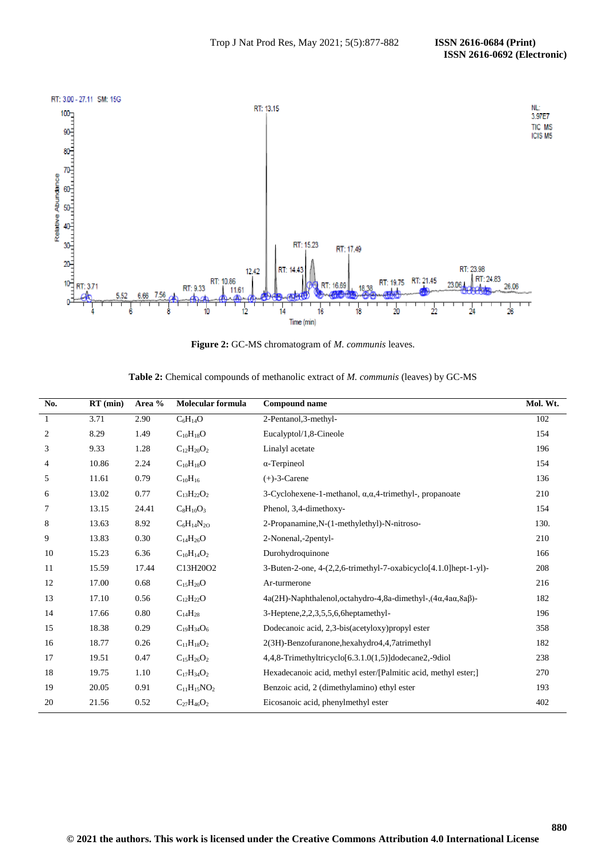

**Figure 2:** GC-MS chromatogram of *M. communis* leaves.

| Table 2: Chemical compounds of methanolic extract of <i>M. communis</i> (leaves) by GC-MS |  |
|-------------------------------------------------------------------------------------------|--|
|-------------------------------------------------------------------------------------------|--|

| No.             | $RT$ (min) | Area % | <b>Molecular formula</b> | <b>Compound name</b>                                                              | Mol. Wt. |
|-----------------|------------|--------|--------------------------|-----------------------------------------------------------------------------------|----------|
| $\overline{1}$  | 3.71       | 2.90   | $C_6H_{14}O$             | 2-Pentanol, 3-methyl-                                                             | 102      |
| $\mathfrak{2}$  | 8.29       | 1.49   | $C_{10}H_{18}O$          | Eucalyptol/1,8-Cineole                                                            | 154      |
| 3               | 9.33       | 1.28   | $C_{12}H_{20}O_2$        | Linalyl acetate                                                                   | 196      |
| 4               | 10.86      | 2.24   | $C_{10}H_{18}O$          | $\alpha$ -Terpineol                                                               | 154      |
| 5               | 11.61      | 0.79   | $C_{10}H_{16}$           | $(+)$ -3-Carene                                                                   | 136      |
| 6               | 13.02      | 0.77   | $C_{13}H_{22}O_2$        | 3-Cyclohexene-1-methanol, $\alpha, \alpha, 4$ -trimethyl-, propanoate             | 210      |
| $7\phantom{.0}$ | 13.15      | 24.41  | $C_8H_{10}O_3$           | Phenol, 3,4-dimethoxy-                                                            | 154      |
| 8               | 13.63      | 8.92   | $C_6H_{14}N_{20}$        | 2-Propanamine, N-(1-methylethyl)-N-nitroso-                                       | 130.     |
| 9               | 13.83      | 0.30   | $C_{14}H_{26}O$          | 2-Nonenal,-2pentyl-                                                               | 210      |
| 10              | 15.23      | 6.36   | $C_{10}H_{14}O_2$        | Durohydroquinone                                                                  | 166      |
| 11              | 15.59      | 17.44  | C13H20O2                 | 3-Buten-2-one, 4-(2,2,6-trimethyl-7-oxabicyclo[4.1.0]hept-1-yl)-                  | 208      |
| 12              | 17.00      | 0.68   | $C_{15}H_{20}O$          | Ar-turmerone                                                                      | 216      |
| 13              | 17.10      | 0.56   | $C_{12}H_{22}O$          | $4a(2H)$ -Naphthalenol,octahydro-4,8a-dimethyl-, $(4\alpha, 4a\alpha, 8a\beta)$ - | 182      |
| 14              | 17.66      | 0.80   | $C_{14}H_{28}$           | 3-Heptene, 2, 2, 3, 5, 5, 6, 6heptamethyl-                                        | 196      |
| 15              | 18.38      | 0.29   | $C_{19}H_{34}O_6$        | Dodecanoic acid, 2,3-bis(acetyloxy) propyl ester                                  | 358      |
| 16              | 18.77      | 0.26   | $C_{11}H_{18}O_2$        | 2(3H)-Benzofuranone, hexahydro4, 4, 7 atrimethyl                                  | 182      |
| 17              | 19.51      | 0.47   | $C_{15}H_{26}O_2$        | 4,4,8-Trimethyltricyclo[6.3.1.0(1,5)]dodecane2,-9diol                             | 238      |
| 18              | 19.75      | 1.10   | $C_{17}H_{34}O_2$        | Hexadecanoic acid, methyl ester/[Palmitic acid, methyl ester;]                    | 270      |
| 19              | 20.05      | 0.91   | $C_{11}H_{15}NO_2$       | Benzoic acid, 2 (dimethylamino) ethyl ester                                       | 193      |
| 20              | 21.56      | 0.52   | $C_{27}H_{46}O_2$        | Eicosanoic acid, phenylmethyl ester                                               | 402      |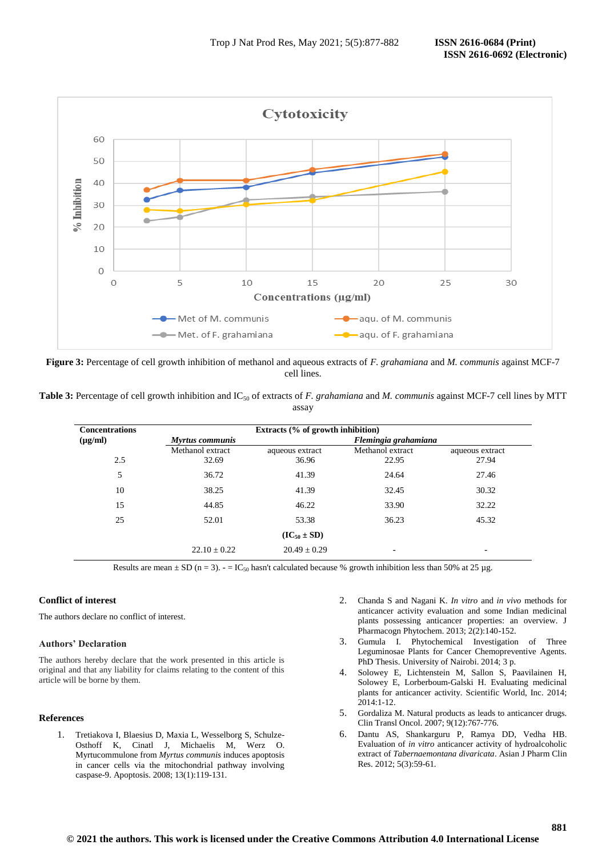

**Figure 3:** Percentage of cell growth inhibition of methanol and aqueous extracts of *F. grahamiana* and *M. communis* against MCF-7 cell lines.

**Table 3:** Percentage of cell growth inhibition and IC<sub>50</sub> of extracts of *F. grahamiana* and *M. communis* against MCF-7 cell lines by MTT assay

| <b>Concentrations</b> | Extracts (% of growth inhibition) |                  |                      |                 |  |  |  |
|-----------------------|-----------------------------------|------------------|----------------------|-----------------|--|--|--|
| $(\mu g/ml)$          | Myrtus communis                   |                  | Flemingia grahamiana |                 |  |  |  |
|                       | Methanol extract                  | aqueous extract  | Methanol extract     | aqueous extract |  |  |  |
| 2.5                   | 32.69                             | 36.96            | 22.95                | 27.94           |  |  |  |
| 5                     | 36.72                             | 41.39            | 24.64                | 27.46           |  |  |  |
| 10                    | 38.25                             | 41.39            | 32.45                | 30.32           |  |  |  |
| 15                    | 44.85                             | 46.22            | 33.90                | 32.22           |  |  |  |
| 25                    | 52.01                             | 53.38            | 36.23                | 45.32           |  |  |  |
| $(IC_{50} \pm SD)$    |                                   |                  |                      |                 |  |  |  |
|                       | $22.10 \pm 0.22$                  | $20.49 \pm 0.29$ | ٠                    | $\blacksquare$  |  |  |  |

Results are mean  $\pm$  SD (n = 3).  $\cdot$  = IC<sub>50</sub> hasn't calculated because % growth inhibition less than 50% at 25 µg.

# **Conflict of interest**

The authors declare no conflict of interest.

# **Authors' Declaration**

The authors hereby declare that the work presented in this article is original and that any liability for claims relating to the content of this article will be borne by them.

# **References**

1. Tretiakova I, Blaesius D, Maxia L, Wesselborg S, Schulze-Osthoff K, Cinatl J, Michaelis M, Werz O. Myrtucommulone from *Myrtus communis* induces apoptosis in cancer cells via the mitochondrial pathway involving caspase-9. Apoptosis. 2008; 13(1):119-131.

- 2. Chanda S and Nagani K. *In vitro* and *in vivo* methods for anticancer activity evaluation and some Indian medicinal plants possessing anticancer properties: an overview. J Pharmacogn Phytochem. 2013; 2(2):140-152.
- 3. Gumula I. Phytochemical Investigation of Three Leguminosae Plants for Cancer Chemopreventive Agents. PhD Thesis. University of Nairobi. 2014; 3 p.
- 4. Solowey E, Lichtenstein M, Sallon S, Paavilainen H, Solowey E, Lorberboum-Galski H. Evaluating medicinal plants for anticancer activity. Scientific World, Inc. 2014; 2014:1-12.
- 5. Gordaliza M. Natural products as leads to anticancer drugs. Clin Transl Oncol. 2007; 9(12):767-776.
- 6. Dantu AS, Shankarguru P, Ramya DD, Vedha HB. Evaluation of *in vitro* anticancer activity of hydroalcoholic extract of *Tabernaemontana divaricata*. Asian J Pharm Clin Res. 2012; 5(3):59-61.